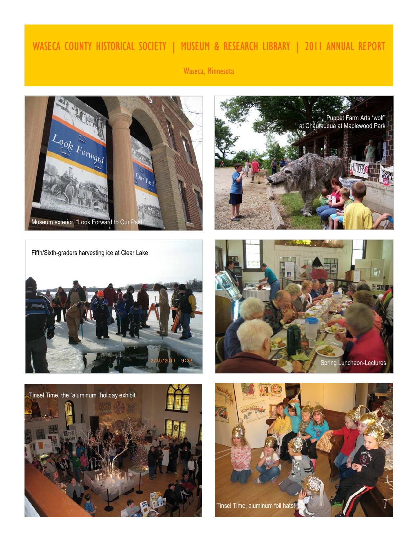# WASECA COUNTY HISTORICAL SOCIETY | MUSEUM & RESEARCH LIBRARY | 2011 ANNUAL REPORT

Waseca, Minnesota





Fifth/Sixth-graders harvesting ice at Clear Lake





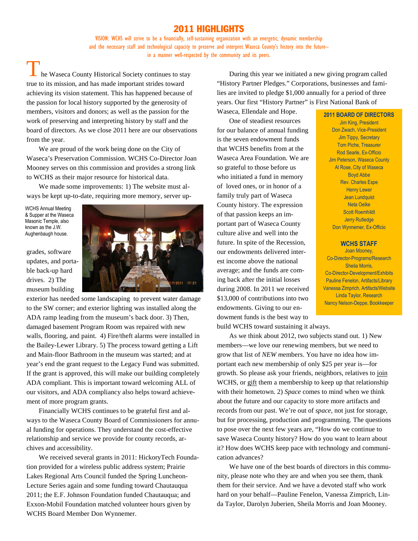### 2011 HIGHLIGHTS

VISION: WCHS will strive to be a financially, self-sustaining organization with an energetic, dynamic membership and the necessary staff and technological capacity to preserve and interpret Waseca County's history into the future- in a manner well-respected by the community and its peers.

he Waseca County Historical Society continues to stay true to its mission, and has made important strides toward achieving its vision statement. This has happened because of the passion for local history supported by the generosity of members, visitors and donors; as well as the passion for the work of preserving and interpreting history by staff and the board of directors. As we close 2011 here are our observations from the year.

We are proud of the work being done on the City of Waseca's Preservation Commission. WCHS Co-Director Joan Mooney serves on this commission and provides a strong link to WCHS as their major resource for historical data.

We made some improvements: 1) The website must always be kept up-to-date, requiring more memory, server up-

WCHS Annual Meeting & Supper at the Waseca Masonic Temple, also known as the J.W. Aughenbaugh house.

grades, software updates, and portable back-up hard drives. 2) The museum building



exterior has needed some landscaping to prevent water damage to the SW corner; and exterior lighting was installed along the ADA ramp leading from the museum's back door. 3) Then, damaged basement Program Room was repaired with new walls, flooring, and paint. 4) Fire/theft alarms were installed in the Bailey-Lewer Library. 5) The process toward getting a Lift and Main-floor Bathroom in the museum was started; and at year's end the grant request to the Legacy Fund was submitted. If the grant is approved, this will make our building completely ADA compliant. This is important toward welcoming ALL of our visitors, and ADA compliancy also helps toward achievement of more program grants.

Financially WCHS continues to be grateful first and always to the Waseca County Board of Commissioners for annual funding for operations. They understand the cost-effective relationship and service we provide for county records, archives and accessibility.

We received several grants in 2011: HickoryTech Foundation provided for a wireless public address system; Prairie Lakes Regional Arts Council funded the Spring Luncheon-Lecture Series again and some funding toward Chautauqua 2011; the E.F. Johnson Foundation funded Chautauqua; and Exxon-Mobil Foundation matched volunteer hours given by WCHS Board Member Don Wynnemer.

During this year we initiated a new giving program called "History Partner Pledges." Corporations, businesses and families are invited to pledge \$1,000 annually for a period of three years. Our first "History Partner" is First National Bank of

Waseca, Ellendale and Hope. One of steadiest resources for our balance of annual funding is the seven endowment funds that WCHS benefits from at the Waseca Area Foundation. We are so grateful to those before us who initiated a fund in memory of loved ones, or in honor of a family truly part of Waseca County history. The expression of that passion keeps an important part of Waseca County culture alive and well into the future. In spite of the Recession, our endowments delivered interest income above the national average; and the funds are coming back after the initial losses during 2008. In 2011 we received \$13,000 of contributions into two endowments. Giving to our endowment funds is the best way to build WCHS toward sustaining it always.

As we think about 2012, two subjects stand out. 1) New members—we love our renewing members, but we need to grow that list of *NEW m*embers. You have no idea how important each new membership of only \$25 per year is—for growth. So please ask your friends, neighbors, relatives to join WCHS, or gift them a membership to keep up that relationship with their hometown. 2) *Space* comes to mind when we think about the future and our capacity to store more artifacts and records from our past. We're out of *space*, not just for storage, but for processing, production and programming. The questions to pose over the next few years are, "How do we continue to save Waseca County history? How do you want to learn about it? How does WCHS keep pace with technology and communication advances?

We have one of the best boards of directors in this community, please note who they are and when you see them, thank them for their service. And we have a devoted staff who work hard on your behalf—Pauline Fenelon, Vanessa Zimprich, Linda Taylor, Darolyn Juberien, Sheila Morris and Joan Mooney.

**2011 BOARD OF DIRECTORS**  Jim King, President Don Zwach, Vice-President Jim Tippy, Secretary Tom Piche, Treasurer Rod Searle, Ex-Officio Jim Peterson, Waseca County Al Rose, City of Waseca Boyd Abbe Rev. Charles Espe Henry Lewer Jean Lundquist Neta Oelke Scott Roemhildt Jerry Rutledge Don Wynnemer, Ex-Officio

#### **WCHS STAFF**

Joan Mooney, Co-Director-Programs/Research Sheila Morris, Co-Director-Development/Exhibits Pauline Fenelon, Artifacts/Library Vanessa Zimprich, Artifacts/Website Linda Taylor, Research Nancy Nelson-Deppe, Bookkeeper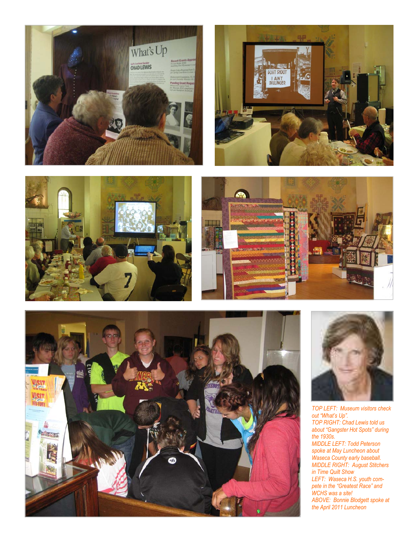











*TOP LEFT: Museum visitors check out "What's Up". TOP RIGHT: Chad Lewis told us about "Gangster Hot Spots" during the 1930s. MIDDLE LEFT: Todd Peterson spoke at May Luncheon about Waseca County early baseball. MIDDLE RIGHT: August Stitchers in Time Quilt Show LEFT: Waseca H.S. youth compete in the "Greatest Race" and WCHS was a site! ABOVE: Bonnie Blodgett spoke at the April 2011 Luncheon*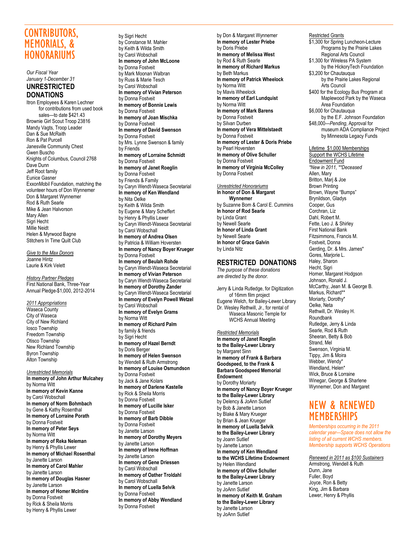# CONTRIBUTORS, MEMORIALS, & **HONORARIUMS**

*Our Fiscal Year January 1-December 31*  **UNRESTRICTED DONATIONS** 

Itron Employees & Karen Lechner for contributions from used book sales—to date \$421.43 Brownie Girl Scout Troop 23816 Mandy Vagts, Troop Leader Dan & Sue McRaith Ron & Pat Purcell Janesville Community Chest Gwen Buscho Knights of Columbus, Council 2768 Dave Dunn Jeff Root family Eunice Gasner ExxonMobil Foundation, matching the volunteer hours of Don Wynnemer Don & Margaret Wynnemer Rod & Ruth Searle Mike & Jean Halvorson Mary Allen Sigri Hecht Millie Neidt Helen & Myrwood Bagne Stitchers In Time Quilt Club

*Give to the Max Donors*  Joanne Hintz Laurie & Kirk Velett

*History Partner Pledges*  First National Bank, Three-Year Annual Pledge-\$1,000, 2012-2014

*2011 Appropriations*  Waseca County City of Waseca City of New Richland Iosco Township Freedom Township Otisco Township New Richland Township Byron Township Alton Township

*Unrestricted Memorials*  **In memory of John Arthur Mulcahey**  by Norma Witt **In memory of Kevin Kanne**  by Carol Wobschall **In memory of Norm Bohmbach**  by Gene & Kathy Rosenthal **In memory of Lorraine Porath**  by Donna Fostveit **In memory of Peter Seys**  by Norma Witt **In memory of Reka Neleman**  by Henry & Phyllis Lewer **In memory of Michael Rosenthal**  by Janette Larson **In memory of Carol Mahler**  by Janette Larson **In memory of Douglas Hasner**  by Janette Larson **In memory of Homer McIntire**  by Donna Fostveit by Rick & Sheila Morris by Henry & Phyllis Lewer

by Sigri Hecht by Constance M. Mahler by Keith & Wilda Smith by Carol Wobschall **In memory of John McLoone**  by Donna Fostveit by Mark Moonan Walbran by Russ & Marie Tesch by Carol Wobschall **In memory of Vivian Peterson**  by Donna Fostveit **In memory of Bonnie Lewis**  by Donna Fostveit **In memory of Joan Mischka**  by Donna Fostveit **In memory of David Swenson**  by Donna Fostveit by Mrs. Lynne Swenson & family by Friends **In memory of Lorraine Schmidt**  by Donna Fostveit **In memory of Janet Roeglin**  by Donna Fostveit by Friends & Family by Caryn Wendt-Waseca Secretarial **In memory of Ken Wendland**  by Nita Oelke by Keith & Wilda Smith by Eugene & Mary Scheffert by Henry & Phyllis Lewer by Caryn Wendt-Waseca Secretarial by Carol Wobschall **In memory of Andrea Olsen**  by Patricia & William Hoversten **In memory of Nancy Boyer Krueger**  by Donna Fostveit **In memory of Beulah Rohde**  by Caryn Wendt-Waseca Secretarial **In memory of Vivian Peterson**  by Caryn Wendt-Waseca Secretarial **In memory of Dorothy Zander**  by Caryn Wendt-Waseca Secretarial **In memory of Evelyn Powell Wetzel**  by Carol Wobschall **In memory of Evelyn Grams**  by Norma Witt **In memory of Richard Palm**  by family & friends by Sigri Hecht **In memory of Hazel Berndt**  by Doris Berger **In memory of Helen Swenson**  by Wendell & Ruth Armstrong **In memory of Louise Osmundson**  by Donna Fostveit by Jack & Jane Kolars **In memory of Darlene Kastelle**  by Rick & Sheila Morris by Donna Fostveit **In memory of Lucille Isker**  by Donna Fostveit **In memory of Barb Dibble**  by Donna Fostveit by Janette Larson **In memory of Dorothy Meyers**  by Janette Larson **In memory of Irene Hoffman**  by Janette Larson **In memory of Gene Driessen**  by Carol Wobschall **In memory of Oather Troldahl**  by Carol Wobschall **In memory of Luella Selvik**  by Donna Fostveit **In memory of Abby Wendland** 

by Donna Fostveit

by Don & Margaret Wynnemer **In memory of Lester Priebe**  by Doris Priebe **In memory of Melissa West**  by Rod & Ruth Searle **In memory of Richard Markus**  by Beth Markus **In memory of Patrick Wheelock**  by Norma Witt by Mavis Wheelock **In memory of Earl Lundquist**  by Norma Witt **In memory of Mark Barens**  by Donna Fostveit by Silvan Durben **In memory of Vera Mittelstaedt**  by Donna Fostveit **In memory of Lester & Doris Priebe**  by Pearl Hoversten **In memory of Olive Schuller**  by Donna Fostveit **In memory of Virginia McColley**  by Donna Fostveit

*Unrestricted Honorariums*  **In honor of Don & Margaret Wynnemer**  by Suzanne Born & Carol E. Cummins **In honor of Rod Searle**  by Linda Grant by Newell Searle **In honor of Linda Grant**  by Newell Searle **In honor of Grace Galvin** by Linda Nitz

#### **RESTRICTED DONATIONS**

*The purpose of these donations are directed by the donor.* 

Jerry & Linda Rutledge, for Digitization of 16mm film project Eugene Welch, for Bailey-Lewer Library Dr. Wesley Rethwill, Jr., for rental of Waseca Masonic Temple for WCHS Annual Meeting

*Restricted Memorials*  **In memory of Janet Roeglin to the Bailey-Lewer Library**  by Margaret Sinn **In memory of Frank & Barbara Goodspeed, to the Frank & Barbara Goodspeed Memorial Endowment**  by Dorothy Moriarty **In memory of Nancy Boyer Krueger to the Bailey-Lewer Library**  by Delency & JoAnn Sutlief by Bob & Janette Larson by Blake & Mary Krueger by Brian & Jean Krueger **In memory of Luella Selvik to the Bailey-Lewer Library** by Joann Sutlief by Janette Larson **In memory of Ken Wendland to the WCHS Lifetime Endowment** by Helen Wendland **In memory of Olive Schuller to the Bailey-Lewer Library** by Janette Larson by JoAnn Sutlief **In memory of Keith M. Graham to the Bailey-Lewer Library**  by Janette Larson by JoAnn Sutlief

#### Restricted Grants

\$1,300 for Spring Luncheon-Lecture Programs by the Prairie Lakes Regional Arts Council \$1,300 for Wireless PA System by the HickoryTech Foundation \$3,200 for Chautauqua by the Prairie Lakes Regional Arts Council \$400 for the Ecology Bus Program at Maplewood Park by the Waseca Area Foundation \$6,000 for Chautauqua by the E.F. Johnson Foundation \$48,000<sup>-</sup>Pending, Approval for museum ADA Compliance Project by Minnesota Legacy Funds

Lifetime \$1,000 Memberships Support the WCHS Lifetime Endowment Fund *\*New in 2011, \*\*Deceased* Allen, Mary Britton, Marj & Joe Brown Printing Brown, Wayne "Bumps" Brynildson, Gladys Cooper, Gus Corchran, Liz Dahl, Robert M. Fette, Leo J. & Shirley First National Bank Fitzsimmons, Francis M. Fostveit, Donna Gerding, Dr. & Mrs. James\* Gores, Marjorie L. Haley, Sharon Hecht, Sigri Horner, Margaret Hodgson Johnson, Ronald J. McCarthy, Jean M. & George B. Markus, Richard\*\* Moriarty, Dorothy\* Oelke, Neta Rethwill, Dr. Wesley H. Roundbank Rutledge, Jerry & Linda Searle, Rod & Ruth Sheeran, Betty & Bob Strand, Mel Swenson, Virginia M. Tippy, Jim & Moira Webber, Wendy\* Wendland, Helen\* Wick, Bruce & Lorraine Winegar, George & Sharlene Wynnemer, Don and Margaret

# NEW & RENEWED **MEMBERSHIPS**

*Memberships occurring in the 2011 calendar year—Space does not allow the listing of all current WCHS members. Membership supports WCHS Operations* 

*Renewed in 2011 as \$100 Sustainers* 

Armstrong, Wendell & Ruth Dunn, Jane Fuller, Boyd Joyce, Ron & Betty King, Jim & Barbara Lewer, Henry & Phyllis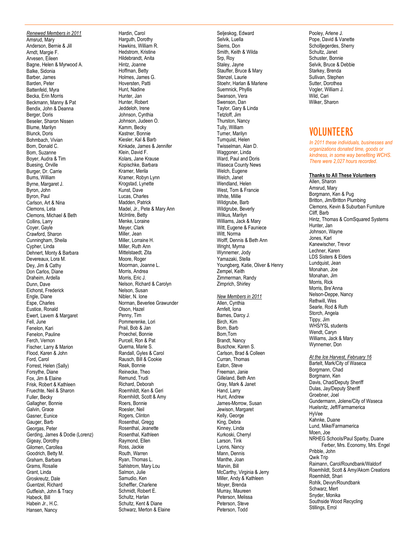*Renewed Members in 2011*  Amsrud, Mary Anderson, Bernie & Jill Arndt, Margie F. Arvesen, Eileen Bagne, Helen & Myrwood A. Balke, Sidonia Barber, James Barden, Peter Battenfeld, Myra Becka, Erin Morris Beckmann, Manny & Pat Bendix, John & Deanna Berger, Doris Beseler, Sharon Nissen Blume, Marilyn Blunck, Doris Bohmbach, Vivian Born, Donald C. Born, Suzanne Boyer, Audra & Tim Buesing, Orville Burger, Dr. Carrie Burns, William Byrne, Margaret J. Byron, John Byron, Paul Carlson, Art & Nina Clemons, Leta Clemons, Michael & Beth Collins, Larry Coyer, Gayle Crawford, Sharon Cunningham, Sheila Cypher, Linda Dehnert, Monty & Barbara Devereaux, Lora M. Dey, Jim & Cathy Don Carlos, Diane Draheim, Ardella Dunn, Dave Eichorst, Frederick Engle, Diane Espe, Charles Eustice, Ronald Ewert, Lavern & Margaret Fell, June Fenelon, Kari Fenelon, Pauline Ferch, Vernon Fischer, Larry & Marion Flood, Karen & John Ford, Carol Forrest, Helen (Sally) Forsythe, Diane Fox, Jim & Elaine Frisk, Robert & Kathleen Fruechte, Neil & Sharon Fuller, Becky Gallagher, Bonnie Galvin, Grace Gasner, Eunice Gauger, Barb Georgas, Peter Gerding, James & Dodie (Lorenz) Gigeay, Dorothy Gilomen, Carollea Goodrich, Betty M. Graham, Barbara Grams, Rosalie Grant, Linda Groskreutz, Dale Guentzel, Richard Gutfleish, John & Tracy Habeck, Bill Habein Jr., H.C. Hansen, Nancy

Hardin, Carol Harguth, Dorothy Hawkins, William R. Hedstrom, Kristine Hildebrandt, Anita Hintz, Joanne Hoffman, Betty Holmes, James G. Hoversten, Patti Hunt, Nadine Hunter, Jan Hunter, Robert Jeddeloh, Irene Johnson, Cynthia Johnson, Judeen O. Kamm, Becky Kastner, Bonnie Kiesler, Kal & Barb Kinkade, James & Jennifer Klein, David F. Kolars, Jane Krause Kopischke, Barbara Kramer, Merila Kramer, Robyn Lynn Krogstad, Lynette Kunst, Dave Lucas, Charles Madden, Patrick Madel, Jr., Pete & Mary Ann McIntire, Betty Menke, Loraine Meyer, Clark Miller, Jean Miller, Lorraine H. Miller, Ruth Ann Mittelstaedt, Zita Moore, Roger Moorman, Joanne L. Morris, Andrea Morris, Eric J. Nelson, Richard & Carolyn Nelson, Susan Nibler, N. Ione Norman, Beverlee Grawunder Olson, Hazel Penny, Tim Pommerenke, Lori Prail, Bob & Jan Proechel, Bonnie Purcell, Ron & Pat Querna, Marie S. Randall, Gyles & Carol Rausch, Bill & Cookie Reak, Bonnie Reinecke, Theo Remund, Trudi Richard, Deborah Roemhildt, Ken & Geri Roemhildt, Scott & Amy Roers, Bonnie Roesler, Neil Rogers, Clinton Rosenthal, Gregg Rosenthal, Jeanette Rosenthal, Kathleen Raymond, Ellen Ross, Jackie Routh, Warren Ryan, Thomas L. Sahlstrom, Mary Lou Salmon, Julie Samudio, Ken Scheffler, Charlene Schmidt, Robert E. Schultz, Harlan Schultz, Kent & Diane Schwarz, Merton & Elaine

Seljeskog, Edward Selvik, Luella Siems, Don Smith, Keith & Wilda Srp, Roy Staley, Jayne Stauffer, Bruce & Mary Stenzel, Laurie Stoehr, Harlan & Marlene Suemnick, Phyllis Swanson, Vera Swenson, Dan Taylor, Gary & Linda Tetzloff, Jim Thurston, Nancy Tully, William Turner, Marilyn Turnquist, Helen Twisselman, Alan D. Waggoner, Linda Ward, Paul and Doris Waseca County News Welch, Eugene Welch, Janet Wendland, Helen West, Tom & Francie White, Millie Wildgrube, Barb Wildgrube, Beverly Wilkus, Marilyn Williams, Jack & Mary Witt, Eugene & Fauniece Witt, Norma Wolff, Dennis & Beth Ann Wright, Myrna Wynnemer, Jody Yamazaki, Stella Youngberg, Katie, Oliver & Henry Zempel, Keith Zimmerman, Randy Zimprich, Shirley *New Members in 2011*  Allen, Cynthia Arnfelt, Iona Barnes, Darcy J. Birch, Kim Born, Barb Born,Tom Brandt, Nancy Buschow, Karen S. Carlson, Brad & Colleen Curran, Thomas Eaton, Steve Freeman, Janie Gilleland, Beth Ann Gray, Mark & Janet Hand, Larry Hunt, Andrew James-Morrow, Susan Jewison, Margaret Kelly, George King, Debra Kinney, Linda Kurkoski, Cherryl Larson, Tink Lyons, Nancy Mann, Dennis Manthe, Joan Marvin, Bill McCarthy, Virginia & Jerry Miller, Andy & Kathleen Moyer, Brenda Murray, Maureen Peterson, Melissa Peterson, Steve Peterson, Todd

Pooley, Arlene J.<br>Pope, David & Vanette Scholljegerdes, Sherry Schultz, Janet Schuster, Bonnie Selvik, Bruce & Debbie Starkey, Brenda Sullivan, Stephen Sutter, Dorothea Vogler, William J. Wild, Cari Wilker, Sharon

## VOLUNTEERS

*In 2011 these individuals, businesses and organizations donated time, goods or kindness, in some way benefiting WCHS. There were 2,027 hours recorded.* 

#### **Thanks to All These Volunteers**

Allen, Sharon Amsrud, Mary Borgmann, Ken & Pug Britton, Jim/Britton Plumbing Clemons, Kevin & Suburban Furniture Cliff, Barb Hintz, Thomas & ComSquared Systems Hunter, Jan Johnson, Wayne Jones, Karl Kanewischer, Trevor Lechner, Karen LDS Sisters & Elders Lundquist, Jean Monahan, Joe Monahan, Jim Morris, Rick Morris, Bre'Anna Nelson-Deppe, Nancy Rethwill, Wes Searle, Rod & Ruth Storch, Angela Tippy, Jim WHS/YSL students Wendt, Caryn Williams, Jack & Mary Wynnemer, Don *At the Ice Harvest, February 16*  Bartelt, Mark/City of Waseca Borgmann, Chad Borgmann, Ken Davis, Chad/Deputy Sheriff Dulas, Jay/Deputy Sheriff Groebner, Joel Gundermann, Jolene/City of Waseca Huelsnitz, Jeff/Farmamerica HyVee Kahnke, Duane Lund, Mike/Farmamerica Moen, Joe NRHEG Schools/Paul Sparby, Duane Ferber, Mrs. Economy, Mrs. Engel Pribble, John Qwik Trip Raimann, Carol/Roundbank/Waldorf Roemhildt, Scott & Amy/Akorn Creations Roemhildt, Shari Rohlk, Devyn/Roundbank Schwarz, Mert Snyder, Monika Southside Wood Recycling Stillings, Errol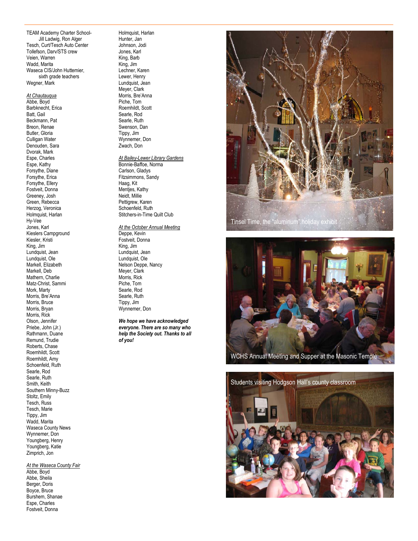TEAM Academy Charter School- Jill Ladwig, Ron Alger Tesch, Curt/Tesch Auto Center Tollefson, Darv/STS crew Veien, Warren Wadd, Marita Waseca CIS/John Huttemier, sixth grade teachers Wegner, Mark

*At Chautauqua*  Abbe, Boyd Barbknecht, Erica Batt, Gail Beckmann, Pat Breon, Renae Butler, Gloria Culligan Water Denouden, Sara Dvorak, Mark Espe, Charles Espe, Kathy Forsythe, Diane Forsythe, Erica Forsythe, Ellery Fostveit, Donna Greeney, Josh Green, Rebecca Herzog, Veronica Holmquist, Harlan Hy-Vee Jones, Karl Kieslers Campground Kiesler, Kristi King, Jim Lundquist, Jean Lundquist, Ole Markell, Elizabeth Markell, Deb Mathern, Charlie Matz-Christ, Sammi Mork, Marty Morris, Bre'Anna Morris, Bruce Morris, Bryan Morris, Rick Olson, Jennifer Priebe, John (Jr.) Rathmann, Duane Remund, Trudie Roberts, Chase Roemhildt, Scott Roemhildt, Amy Schoenfeld, Ruth Searle, Rod Searle, Ruth Smith, Keith Southern Minny-Buzz Stoltz, Emily Tesch, Russ Tesch, Marie Tippy, Jim Wadd, Marita Waseca County News Wynnemer, Don Youngberg, Henry Youngberg, Katie Zimprich, Jon

*At the Waseca County Fair*  Abbe, Boyd Abbe, Sheila Berger, Doris Boyce, Bruce Burshem, Shanae Espe, Charles Fostveit, Donna

Holmquist, Harlan Hunter, Jan Johnson, Jodi Jones, Karl King, Barb King, Jim Lechner, Karen Lewer, Henry Lundquist, Jean Meyer, Clark Morris, Bre'Anna Piche, Tom Roemhildt, Scott Searle, Rod Searle, Ruth Swenson, Dan Tippy, Jim Wynnemer, Don Zwach, Don *At Bailey-Lewer Library Gardens* 

Bonnie-Baffoe, Norma Carlson, Gladys Fitzsimmons, Sandy Haag, Kit Mentjes, Kathy Neidt, Millie Pettigrew, Karen Schoenfeld, Ruth Stitchers-in-Time Quilt Club

*At the October Annual Meeting*  Deppe, Kevin Fostveit, Donna King, Jim Lundquist, Jean Lundquist, Ole Nelson Deppe, Nancy Meyer, Clark Morris, Rick Piche, Tom Searle, Rod Searle, Ruth Tippy, Jim Wynnemer, Don

*We hope we have acknowledged everyone. There are so many who help the Society out. Thanks to all of you!* 





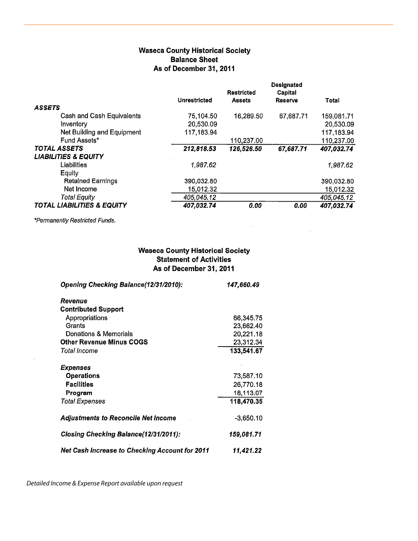### **Waseca County Historical Society Balance Sheet** As of December 31, 2011

|                                       | <b>Unrestricted</b> | <b>Restricted</b><br><b>Assets</b> | <b>Designated</b><br>Capital<br>Reserve | Total      |
|---------------------------------------|---------------------|------------------------------------|-----------------------------------------|------------|
| <b>ASSETS</b>                         |                     |                                    |                                         |            |
| Cash and Cash Equivalents             | 75,104.50           | 16,289.50                          | 67,687.71                               | 159,081.71 |
| Inventory                             | 20,530.09           |                                    |                                         | 20,530.09  |
| Net Building and Equipment            | 117,183.94          |                                    |                                         | 117,183.94 |
| Fund Assets*                          |                     | 110,237.00                         |                                         | 110,237.00 |
| <b>TOTAL ASSETS</b>                   | 212,818.53          | 126,526.50                         | 67,687.71                               | 407,032.74 |
| <b>LIABILITIES &amp; EQUITY</b>       |                     |                                    |                                         |            |
| Liabilities                           | 1,987.62            |                                    |                                         | 1,987.62   |
| Equity                                |                     |                                    |                                         |            |
| <b>Retained Earnings</b>              | 390,032.80          |                                    |                                         | 390,032.80 |
| Net Income                            | 15,012.32           |                                    |                                         | 15,012.32  |
| <b>Total Equity</b>                   | 405,045.12          |                                    |                                         | 405,045.12 |
| <b>TOTAL LIABILITIES &amp; EQUITY</b> | 407,032.74          | 0.00                               | 0.00                                    | 407,032.74 |

\*Permanently Restricted Funds.

## **Waseca County Historical Society Statement of Activities** As of December 31, 2011

 $\bar{z}$ 

| Opening Checking Balance(12/31/2010):                 | 147,660.49  |  |
|-------------------------------------------------------|-------------|--|
| Revenue                                               |             |  |
| <b>Contributed Support</b>                            |             |  |
| Appropriations                                        | 66,345.75   |  |
| Grants                                                | 23,662.40   |  |
| Donations & Memorials                                 | 20,221.18   |  |
| <b>Other Revenue Minus COGS</b>                       | 23,312.34   |  |
| Total Income                                          | 133,541.67  |  |
| Expenses                                              |             |  |
| Operations                                            | 73,587.10   |  |
| <b>Facilities</b>                                     | 26,770.18   |  |
| Program                                               | 18,113.07   |  |
| Total Expenses                                        | 118,470.35  |  |
| <b>Adjustments to Reconcile Net Income</b>            | $-3,650.10$ |  |
| <b>Closing Checking Balance(12/31/2011):</b>          | 159,081.71  |  |
| <b>Net Cash Increase to Checking Account for 2011</b> | 11.421.22   |  |

Detailed Income & Expense Report available upon request